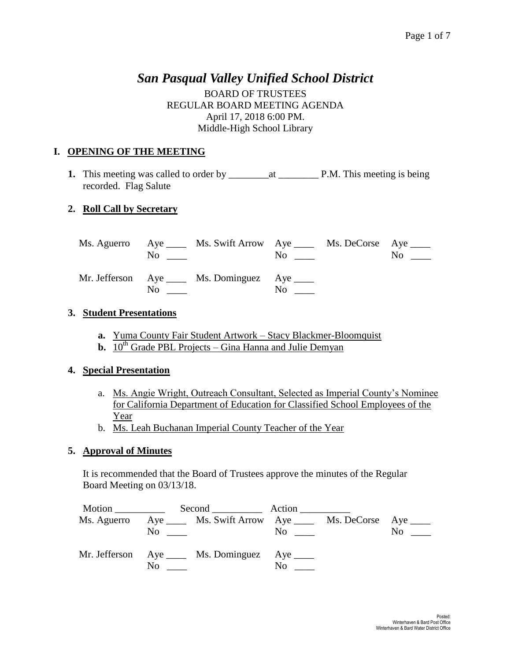# *San Pasqual Valley Unified School District*

BOARD OF TRUSTEES REGULAR BOARD MEETING AGENDA April 17, 2018 6:00 PM. Middle-High School Library

# **I. OPENING OF THE MEETING**

**1.** This meeting was called to order by \_\_\_\_\_\_\_\_at \_\_\_\_\_\_\_\_ P.M. This meeting is being recorded. Flag Salute

# **2. Roll Call by Secretary**

|                                                                                                                                                                                                                                | Ms. Aguerro Aye ______ Ms. Swift Arrow Aye ______ Ms. DeCorse Aye _____<br>$\overline{N}$ $\overline{N}$ | $\overline{N}$ o $\overline{a}$ | $\mathrm{No}$ $\_\_$ |
|--------------------------------------------------------------------------------------------------------------------------------------------------------------------------------------------------------------------------------|----------------------------------------------------------------------------------------------------------|---------------------------------|----------------------|
| No and the same state of the state of the state of the state of the state of the state of the state of the state of the state of the state of the state of the state of the state of the state of the state of the state of th | Mr. Jefferson Aye ____ Ms. Dominguez Aye ____                                                            | No                              |                      |

### **3. Student Presentations**

- **a.** Yuma County Fair Student Artwork Stacy Blackmer-Bloomquist
- **b.**  $10^{th}$  Grade PBL Projects Gina Hanna and Julie Demyan

## **4. Special Presentation**

- a. Ms. Angie Wright, Outreach Consultant, Selected as Imperial County's Nominee for California Department of Education for Classified School Employees of the Year
- b. Ms. Leah Buchanan Imperial County Teacher of the Year

## **5. Approval of Minutes**

It is recommended that the Board of Trustees approve the minutes of the Regular Board Meeting on 03/13/18.

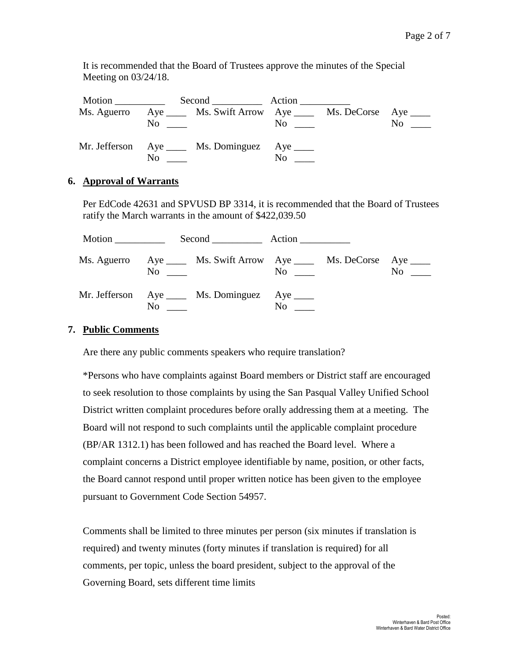It is recommended that the Board of Trustees approve the minutes of the Special Meeting on 03/24/18.

|                | Ms. Aguerro Aye ______ Ms. Swift Arrow Aye ______ Ms. DeCorse Aye _____ |                                           |          |
|----------------|-------------------------------------------------------------------------|-------------------------------------------|----------|
|                | $\overline{N}$ $\overline{N}$                                           | $\overline{N_0}$ $\overline{\phantom{0}}$ | $\rm No$ |
|                | Mr. Jefferson Aye ____ Ms. Dominguez Aye ____                           |                                           |          |
| N <sub>0</sub> |                                                                         | No.                                       |          |

### **6. Approval of Warrants**

Per EdCode 42631 and SPVUSD BP 3314, it is recommended that the Board of Trustees ratify the March warrants in the amount of \$422,039.50

|                | Second Action                                                                                  |                |                                                 |                |
|----------------|------------------------------------------------------------------------------------------------|----------------|-------------------------------------------------|----------------|
|                | Ms. Aguerro Aye _____ Ms. Swift Arrow Aye _____ Ms. DeCorse Aye ____<br>$\overline{\text{No}}$ |                | $\overline{\text{No}}$ $\overline{\phantom{0}}$ | N <sub>0</sub> |
| N <sub>0</sub> | Mr. Jefferson Aye ____ Ms. Dominguez Aye ____                                                  | N <sub>0</sub> |                                                 |                |

#### **7. Public Comments**

Are there any public comments speakers who require translation?

\*Persons who have complaints against Board members or District staff are encouraged to seek resolution to those complaints by using the San Pasqual Valley Unified School District written complaint procedures before orally addressing them at a meeting. The Board will not respond to such complaints until the applicable complaint procedure (BP/AR 1312.1) has been followed and has reached the Board level. Where a complaint concerns a District employee identifiable by name, position, or other facts, the Board cannot respond until proper written notice has been given to the employee pursuant to Government Code Section 54957.

Comments shall be limited to three minutes per person (six minutes if translation is required) and twenty minutes (forty minutes if translation is required) for all comments, per topic, unless the board president, subject to the approval of the Governing Board, sets different time limits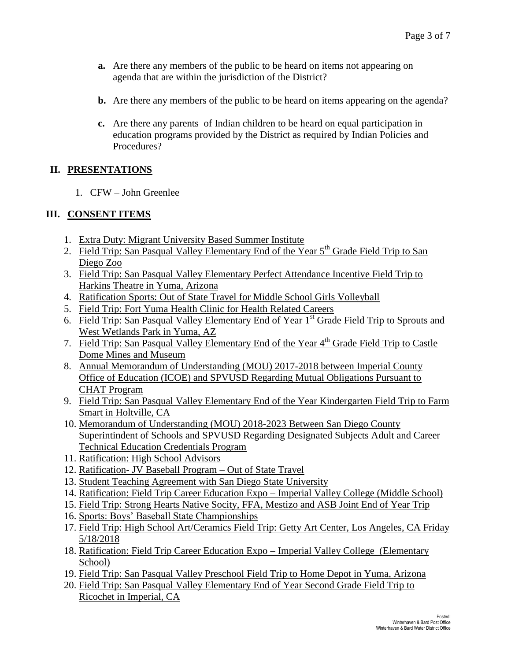- **a.** Are there any members of the public to be heard on items not appearing on agenda that are within the jurisdiction of the District?
- **b.** Are there any members of the public to be heard on items appearing on the agenda?
- **c.** Are there any parents of Indian children to be heard on equal participation in education programs provided by the District as required by Indian Policies and Procedures?

# **II. PRESENTATIONS**

1. CFW – John Greenlee

# **III. CONSENT ITEMS**

- 1. Extra Duty: Migrant University Based Summer Institute
- 2. Field Trip: San Pasqual Valley Elementary End of the Year 5<sup>th</sup> Grade Field Trip to San Diego Zoo
- 3. Field Trip: San Pasqual Valley Elementary Perfect Attendance Incentive Field Trip to Harkins Theatre in Yuma, Arizona
- 4. Ratification Sports: Out of State Travel for Middle School Girls Volleyball
- 5. Field Trip: Fort Yuma Health Clinic for Health Related Careers
- 6. Field Trip: San Pasqual Valley Elementary End of Year 1<sup>st</sup> Grade Field Trip to Sprouts and West Wetlands Park in Yuma, AZ
- 7. Field Trip: San Pasqual Valley Elementary End of the Year 4th Grade Field Trip to Castle Dome Mines and Museum
- 8. Annual Memorandum of Understanding (MOU) 2017-2018 between Imperial County Office of Education (ICOE) and SPVUSD Regarding Mutual Obligations Pursuant to CHAT Program
- 9. Field Trip: San Pasqual Valley Elementary End of the Year Kindergarten Field Trip to Farm Smart in Holtville, CA
- 10. Memorandum of Understanding (MOU) 2018-2023 Between San Diego County Superintindent of Schools and SPVUSD Regarding Designated Subjects Adult and Career Technical Education Credentials Program
- 11. Ratification: High School Advisors
- 12. Ratification- JV Baseball Program Out of State Travel
- 13. Student Teaching Agreement with San Diego State University
- 14. Ratification: Field Trip Career Education Expo Imperial Valley College (Middle School)
- 15. Field Trip: Strong Hearts Native Socity, FFA, Mestizo and ASB Joint End of Year Trip
- 16. Sports: Boys' Baseball State Championships
- 17. Field Trip: High School Art/Ceramics Field Trip: Getty Art Center, Los Angeles, CA Friday 5/18/2018
- 18. Ratification: Field Trip Career Education Expo Imperial Valley College (Elementary School)
- 19. Field Trip: San Pasqual Valley Preschool Field Trip to Home Depot in Yuma, Arizona
- 20. Field Trip: San Pasqual Valley Elementary End of Year Second Grade Field Trip to Ricochet in Imperial, CA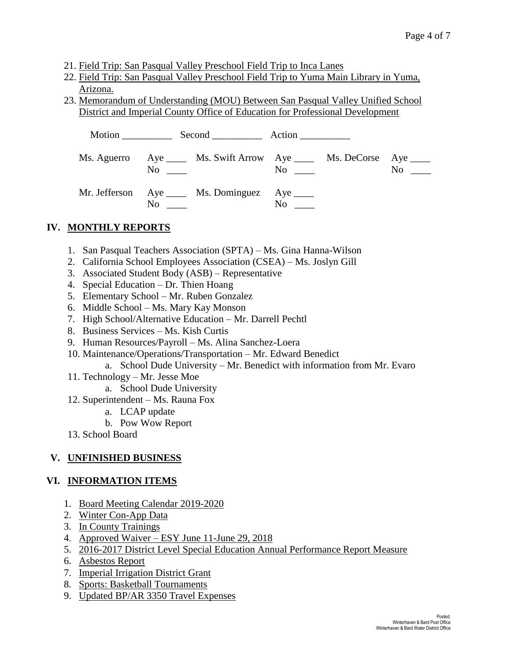- 21. Field Trip: San Pasqual Valley Preschool Field Trip to Inca Lanes
- 22. Field Trip: San Pasqual Valley Preschool Field Trip to Yuma Main Library in Yuma, Arizona.
- 23. Memorandum of Understanding (MOU) Between San Pasqual Valley Unified School District and Imperial County Office of Education for Professional Development

|  | Ms. Aguerro Aye _____ Ms. Swift Arrow Aye _____ Ms. DeCorse Aye _____<br>$\overline{\text{No}}$ $\overline{\phantom{0}}$ |           | $\overline{\text{No}}$ $\overline{\phantom{0}}$ | $No \t —$ |
|--|--------------------------------------------------------------------------------------------------------------------------|-----------|-------------------------------------------------|-----------|
|  | Mr. Jefferson Aye ____ Ms. Dominguez Aye ____<br>$\overline{\text{No}}$ $\overline{\phantom{0}}$                         | $No \ \_$ |                                                 |           |

# **IV. MONTHLY REPORTS**

- 1. San Pasqual Teachers Association (SPTA) Ms. Gina Hanna-Wilson
- 2. California School Employees Association (CSEA) Ms. Joslyn Gill
- 3. Associated Student Body (ASB) Representative
- 4. Special Education Dr. Thien Hoang
- 5. Elementary School Mr. Ruben Gonzalez
- 6. Middle School Ms. Mary Kay Monson
- 7. High School/Alternative Education Mr. Darrell Pechtl
- 8. Business Services Ms. Kish Curtis
- 9. Human Resources/Payroll Ms. Alina Sanchez-Loera
- 10. Maintenance/Operations/Transportation Mr. Edward Benedict
	- a. School Dude University Mr. Benedict with information from Mr. Evaro
- 11. Technology Mr. Jesse Moe
	- a. School Dude University
- 12. Superintendent Ms. Rauna Fox
	- a. LCAP update
	- b. Pow Wow Report
- 13. School Board

## **V. UNFINISHED BUSINESS**

#### **VI. INFORMATION ITEMS**

- 1. Board Meeting Calendar 2019-2020
- 2. Winter Con-App Data
- 3. In County Trainings
- 4. Approved Waiver ESY June 11-June 29, 2018
- 5. 2016-2017 District Level Special Education Annual Performance Report Measure
- 6. Asbestos Report
- 7. Imperial Irrigation District Grant
- 8. Sports: Basketball Tournaments
- 9. Updated BP/AR 3350 Travel Expenses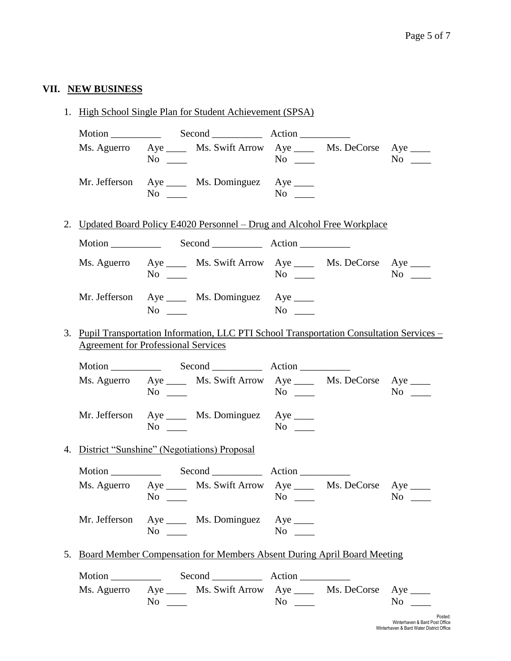### **VII. NEW BUSINESS**

1. High School Single Plan for Student Achievement (SPSA)

| $Second$ $\begin{tabular}{c} \n 60\n 60\n \end{tabular}$ Action                                                                                                                                                                                                                                                                                                                                                                         |                                                                                                                                                                                                                                                                                                         |
|-----------------------------------------------------------------------------------------------------------------------------------------------------------------------------------------------------------------------------------------------------------------------------------------------------------------------------------------------------------------------------------------------------------------------------------------|---------------------------------------------------------------------------------------------------------------------------------------------------------------------------------------------------------------------------------------------------------------------------------------------------------|
| $\rm No$                                                                                                                                                                                                                                                                                                                                                                                                                                | Ms. Aguerro Aye _____ Ms. Swift Arrow Aye _____ Ms. DeCorse Aye _____<br>No and the same state of the state of the state of the state of the state of the state of the state of the state of the state of the state of the state of the state of the state of the state of the state of the state of th |
| Mr. Jefferson Aye _____ Ms. Dominguez Aye _____<br>$\overline{N}$ $\overline{N}$ $\overline{N}$ $\overline{N}$ $\overline{N}$ $\overline{N}$ $\overline{N}$ $\overline{N}$ $\overline{N}$ $\overline{N}$ $\overline{N}$ $\overline{N}$ $\overline{N}$ $\overline{N}$ $\overline{N}$ $\overline{N}$ $\overline{N}$ $\overline{N}$ $\overline{N}$ $\overline{N}$ $\overline{N}$ $\overline{N}$ $\overline{N}$ $\overline{N}$ $\overline{$ | No                                                                                                                                                                                                                                                                                                      |

2. Updated Board Policy E4020 Personnel – Drug and Alcohol Free Workplace

|                | Second Action                                                                                     |           |                                         |           |
|----------------|---------------------------------------------------------------------------------------------------|-----------|-----------------------------------------|-----------|
|                | Ms. Aguerro Aye ______ Ms. Swift Arrow Aye ______ Ms. DeCorse Aye _____<br>$\overline{\text{No}}$ |           | $\overline{N}$ $\overline{\phantom{a}}$ | $No \ \_$ |
| N <sub>0</sub> | Mr. Jefferson Aye ____ Ms. Dominguez Aye ____                                                     | $No \_\_$ |                                         |           |

3. Pupil Transportation Information, LLC PTI School Transportation Consultation Services – Agreement for Professional Services

|     | Second Action                                                                                                     |    |                                           |                |
|-----|-------------------------------------------------------------------------------------------------------------------|----|-------------------------------------------|----------------|
|     | Ms. Aguerro Aye _____ Ms. Swift Arrow Aye _____ Ms. DeCorse Aye _____<br>$\overline{N}$ $\overline{\phantom{nn}}$ |    | $\overline{N}$ o $\overline{\phantom{0}}$ | N <sub>0</sub> |
| No. | Mr. Jefferson Aye ____ Ms. Dominguez Aye ____                                                                     | No |                                           |                |

4. District "Sunshine" (Negotiations) Proposal

|    | Second Action                                                                                                       |                                           |     |
|----|---------------------------------------------------------------------------------------------------------------------|-------------------------------------------|-----|
| No | Ms. Aguerro Aye _____ Ms. Swift Arrow Aye _____ Ms. DeCorse Aye _____<br><u> 1990 - Jan James Barnett, martin e</u> | $\overline{N}$ o $\overline{\phantom{0}}$ | No. |
|    | Mr. Jefferson Aye _____ Ms. Dominguez Aye _____<br>$\overline{N}$ o $\overline{\phantom{0}}$                        | No                                        |     |

5. Board Member Compensation for Members Absent During April Board Meeting

| Motion |                | Second                                                               | Action           |          |
|--------|----------------|----------------------------------------------------------------------|------------------|----------|
|        | N <sub>0</sub> | Ms. Aguerro Aye _____ Ms. Swift Arrow Aye _____ Ms. DeCorse Aye ____ | $\overline{N}$ 0 | $\rm No$ |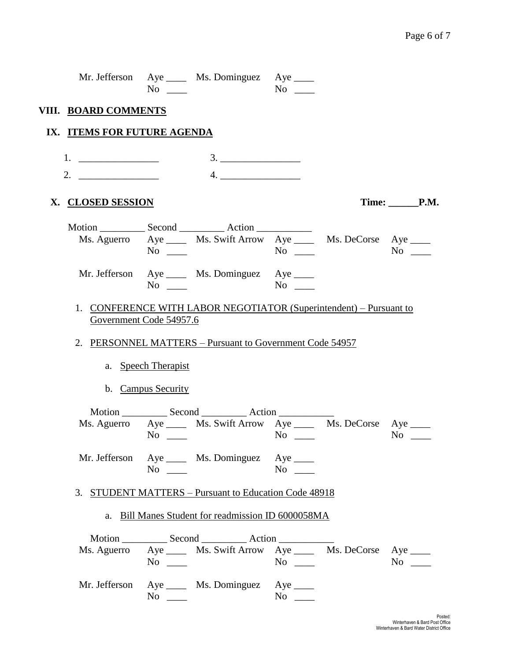|                             | $No \ \_$              | Mr. Jefferson Aye ____ Ms. Dominguez Aye ____                           |           |            |
|-----------------------------|------------------------|-------------------------------------------------------------------------|-----------|------------|
| VIII. BOARD COMMENTS        |                        |                                                                         |           |            |
| IX. ITEMS FOR FUTURE AGENDA |                        |                                                                         |           |            |
|                             |                        | 3.                                                                      |           |            |
| 2. $\qquad \qquad$          |                        | 4.                                                                      |           |            |
| X. CLOSED SESSION           |                        |                                                                         |           | Time: P.M. |
|                             |                        | Ms. Aguerro Aye _____ Ms. Swift Arrow Aye _____ Ms. DeCorse Aye ____    |           |            |
|                             | $No \_\_$<br>$No \_\_$ | Mr. Jefferson Aye _____ Ms. Dominguez Aye ____                          |           |            |
| Government Code 54957.6     |                        | 1. CONFERENCE WITH LABOR NEGOTIATOR (Superintendent) – Pursuant to      |           |            |
|                             |                        | 2. PERSONNEL MATTERS - Pursuant to Government Code 54957                |           |            |
|                             | a. Speech Therapist    |                                                                         |           |            |
|                             | b. Campus Security     |                                                                         |           |            |
|                             | $No \ \_$              | Ms. Aguerro Aye ______ Ms. Swift Arrow Aye ______ Ms. DeCorse Aye _____ |           | $No \_$    |
|                             | $No \_\_$              | Mr. Jefferson Aye _____ Ms. Dominguez Aye _____                         | $No \t —$ |            |
|                             |                        | 3. STUDENT MATTERS - Pursuant to Education Code 48918                   |           |            |
|                             |                        | a. Bill Manes Student for readmission ID 6000058MA                      |           |            |
|                             |                        |                                                                         |           |            |
|                             | $No \_\_$              | Ms. Aguerro Aye ______ Ms. Swift Arrow Aye ______ Ms. DeCorse Aye _____ |           | $No \ \_$  |
|                             | $No \_\_$              | Mr. Jefferson Aye _____ Ms. Dominguez Aye ____                          | $No \_\_$ |            |